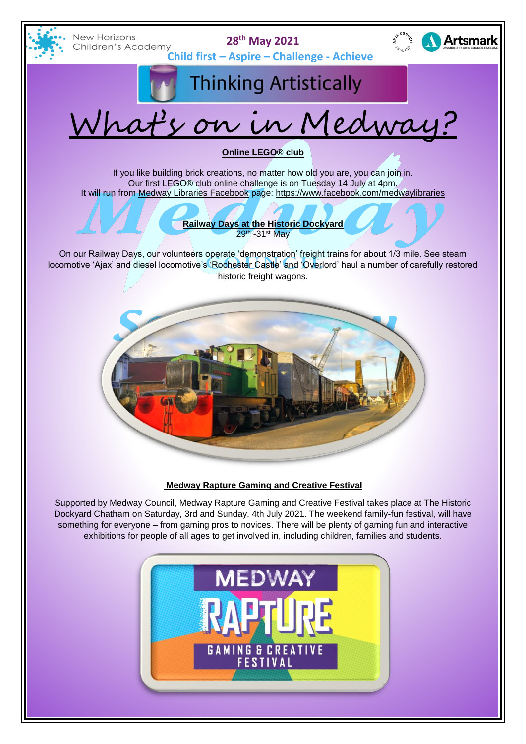